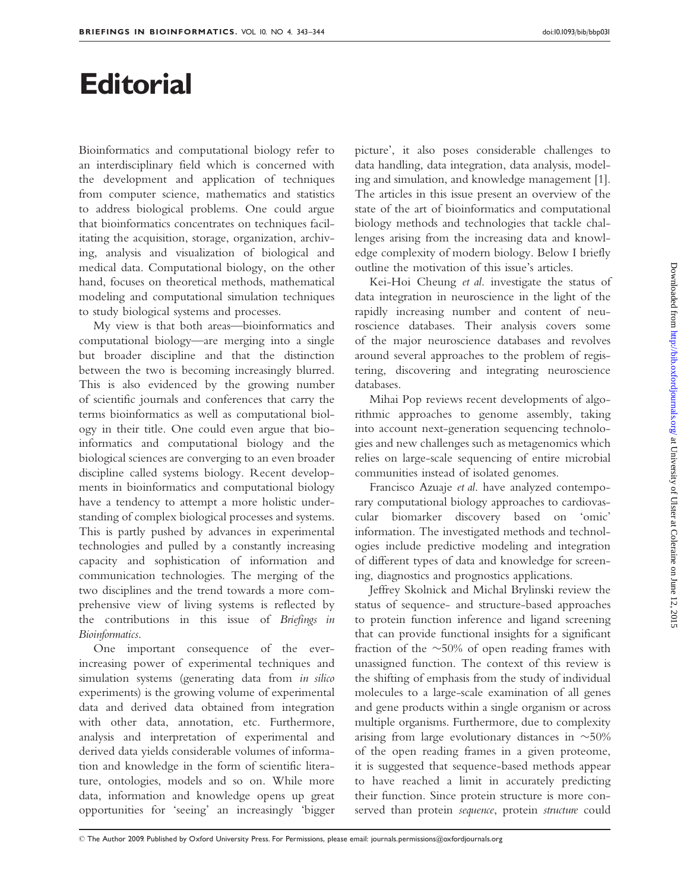## **Editorial**

Bioinformatics and computational biology refer to an interdisciplinary field which is concerned with the development and application of techniques from computer science, mathematics and statistics to address biological problems. One could argue that bioinformatics concentrates on techniques facilitating the acquisition, storage, organization, archiving, analysis and visualization of biological and medical data. Computational biology, on the other hand, focuses on theoretical methods, mathematical modeling and computational simulation techniques to study biological systems and processes.

My view is that both areas—bioinformatics and computational biology—are merging into a single but broader discipline and that the distinction between the two is becoming increasingly blurred. This is also evidenced by the growing number of scientific journals and conferences that carry the terms bioinformatics as well as computational biology in their title. One could even argue that bioinformatics and computational biology and the biological sciences are converging to an even broader discipline called systems biology. Recent developments in bioinformatics and computational biology have a tendency to attempt a more holistic understanding of complex biological processes and systems. This is partly pushed by advances in experimental technologies and pulled by a constantly increasing capacity and sophistication of information and communication technologies. The merging of the two disciplines and the trend towards a more comprehensive view of living systems is reflected by the contributions in this issue of Briefings in Bioinformatics.

One important consequence of the everincreasing power of experimental techniques and simulation systems (generating data from *in silico* experiments) is the growing volume of experimental data and derived data obtained from integration with other data, annotation, etc. Furthermore, analysis and interpretation of experimental and derived data yields considerable volumes of information and knowledge in the form of scientific literature, ontologies, models and so on. While more data, information and knowledge opens up great opportunities for 'seeing' an increasingly 'bigger

picture', it also poses considerable challenges to data handling, data integration, data analysis, modeling and simulation, and knowledge management [1]. The articles in this issue present an overview of the state of the art of bioinformatics and computational biology methods and technologies that tackle challenges arising from the increasing data and knowledge complexity of modern biology. Below I briefly outline the motivation of this issue's articles.

Kei-Hoi Cheung et al. investigate the status of data integration in neuroscience in the light of the rapidly increasing number and content of neuroscience databases. Their analysis covers some of the major neuroscience databases and revolves around several approaches to the problem of registering, discovering and integrating neuroscience databases.

Mihai Pop reviews recent developments of algorithmic approaches to genome assembly, taking into account next-generation sequencing technologies and new challenges such as metagenomics which relies on large-scale sequencing of entire microbial communities instead of isolated genomes.

Francisco Azuaje et al. have analyzed contemporary computational biology approaches to cardiovascular biomarker discovery based on 'omic' information. The investigated methods and technologies include predictive modeling and integration of different types of data and knowledge for screening, diagnostics and prognostics applications.

Jeffrey Skolnick and Michal Brylinski review the status of sequence- and structure-based approaches to protein function inference and ligand screening that can provide functional insights for a significant fraction of the  $\sim$ 50% of open reading frames with unassigned function. The context of this review is the shifting of emphasis from the study of individual molecules to a large-scale examination of all genes and gene products within a single organism or across multiple organisms. Furthermore, due to complexity arising from large evolutionary distances in  $~50\%$ of the open reading frames in a given proteome, it is suggested that sequence-based methods appear to have reached a limit in accurately predicting their function. Since protein structure is more conserved than protein sequence, protein structure could